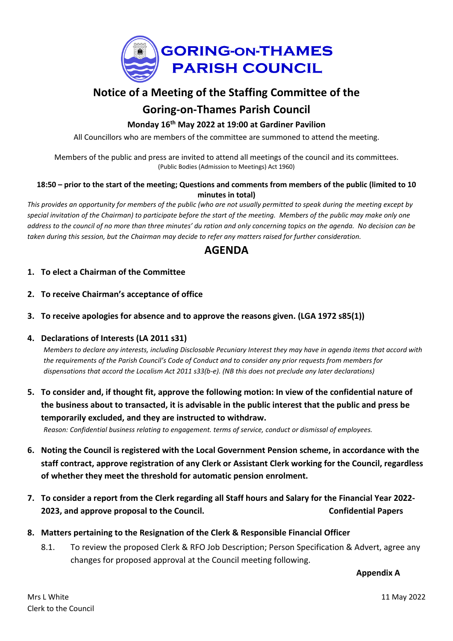

# **Notice of a Meeting of the Staffing Committee of the Goring-on-Thames Parish Council**

### **Monday 16th May 2022 at 19:00 at Gardiner Pavilion**

All Councillors who are members of the committee are summoned to attend the meeting.

Members of the public and press are invited to attend all meetings of the council and its committees. (Public Bodies (Admission to Meetings) Act 1960)

#### 18:50 - prior to the start of the meeting; Questions and comments from members of the public (limited to 10 **minutes in total)**

This provides an opportunity for members of the public (who are not usually permitted to speak during the meeting except by special invitation of the Chairman) to participate before the start of the meeting. Members of the public may make only one address to the council of no more than three minutes' du ration and only concerning topics on the agenda. No decision can be taken during this session, but the Chairman may decide to refer any matters raised for further consideration.

## **AGENDA**

- **1. To elect a Chairman of the Committee**
- **2. To receive Chairman's acceptance of office**
- **3. To receive apologies for absence and to approve the reasons given. (LGA 1972 s85(1))**

#### **4. Declarations of Interests (LA 2011 s31)**

Members to declare any interests, including Disclosable Pecuniary Interest they may have in agenda items that accord with the requirements of the Parish Council's Code of Conduct and to consider any prior requests from members for *dispensations that accord the Localism Act 2011 s33(b-e). (NB this does not preclude any later declarations)*

5. To consider and, if thought fit, approve the following motion: In view of the confidential nature of the business about to transacted, it is advisable in the public interest that the public and press be **temporarily excluded, and they are instructed to withdraw.**

*Reason: Confidential business relating to engagement. terms of service, conduct or dismissal of employees.*

- **6. Noting the Council is registered with the Local Government Pension scheme, in accordance with the staff contract, approve registration of any Clerk or Assistant Clerk working for the Council, regardless of whether they meet the threshold for automatic pension enrolment.**
- 7. To consider a report from the Clerk regarding all Staff hours and Salary for the Financial Year 2022-**2023, and approve proposal to the Council. Confidential Papers**
- **8. Matters pertaining to the Resignation of the Clerk & Responsible Financial Officer**
	- 8.1. To review the proposed Clerk & RFO Job Description; Person Specification & Advert, agree any changes for proposed approval at the Council meeting following.

**Appendix A**